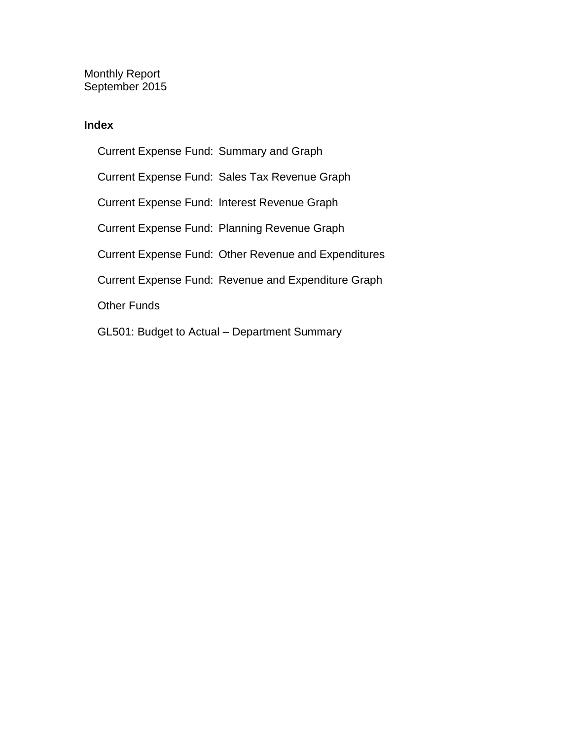Monthly Report September 2015

### **Index**

Current Expense Fund: Summary and Graph Current Expense Fund: Sales Tax Revenue Graph Current Expense Fund: Interest Revenue Graph Current Expense Fund: Planning Revenue Graph Current Expense Fund: Other Revenue and Expenditures Current Expense Fund: Revenue and Expenditure Graph Other Funds GL501: Budget to Actual – Department Summary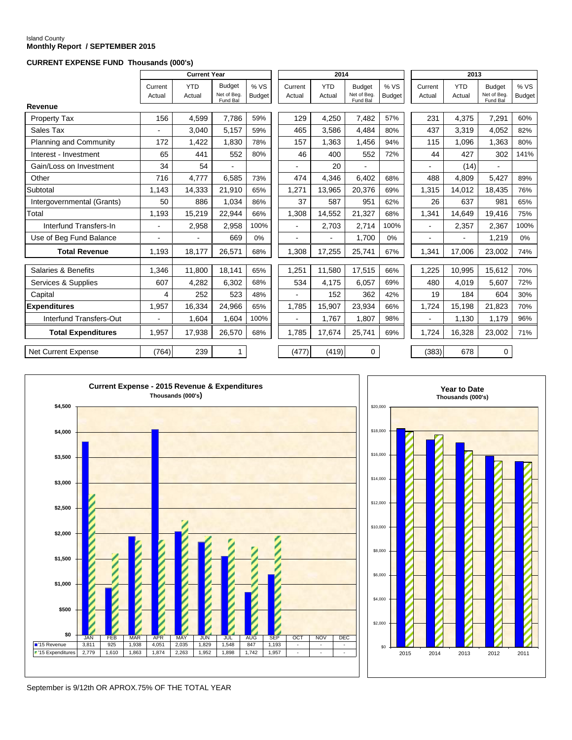# Island County **Monthly Report / SEPTEMBER 2015**

#### **CURRENT EXPENSE FUND Thousands (000's)**

|                            |                   | <b>Current Year</b>  |                                          |                       |                   | 2014                     |                                          |                       | 2013              |                      |                                          |                      |
|----------------------------|-------------------|----------------------|------------------------------------------|-----------------------|-------------------|--------------------------|------------------------------------------|-----------------------|-------------------|----------------------|------------------------------------------|----------------------|
|                            | Current<br>Actual | <b>YTD</b><br>Actual | <b>Budget</b><br>Net of Beg.<br>Fund Bal | % VS<br><b>Budget</b> | Current<br>Actual | <b>YTD</b><br>Actual     | <b>Budget</b><br>Net of Beg.<br>Fund Bal | % VS<br><b>Budget</b> | Current<br>Actual | <b>YTD</b><br>Actual | <b>Budget</b><br>Net of Beg.<br>Fund Bal | %VS<br><b>Budget</b> |
| Revenue                    |                   |                      |                                          |                       |                   |                          |                                          |                       |                   |                      |                                          |                      |
| Property Tax               | 156               | 4,599                | 7.786                                    | 59%                   | 129               | 4.250                    | 7,482                                    | 57%                   | 231               | 4.375                | 7,291                                    | 60%                  |
| Sales Tax                  |                   | 3,040                | 5,157                                    | 59%                   | 465               | 3,586                    | 4,484                                    | 80%                   | 437               | 3.319                | 4,052                                    | 82%                  |
| Planning and Community     | 172               | 1,422                | 1,830                                    | 78%                   | 157               | 1,363                    | 1,456                                    | 94%                   | 115               | 1.096                | 1,363                                    | 80%                  |
| Interest - Investment      | 65                | 441                  | 552                                      | 80%                   | 46                | 400                      | 552                                      | 72%                   | 44                | 427                  | 302                                      | 141%                 |
| Gain/Loss on Investment    | 34                | 54                   | $\blacksquare$                           |                       | $\blacksquare$    | 20                       | ÷.                                       |                       | $\blacksquare$    | (14)                 | $\mathbf{r}$                             |                      |
| Other                      | 716               | 4,777                | 6.585                                    | 73%                   | 474               | 4.346                    | 6.402                                    | 68%                   | 488               | 4.809                | 5.427                                    | 89%                  |
| Subtotal                   | 1.143             | 14,333               | 21,910                                   | 65%                   | 1,271             | 13,965                   | 20,376                                   | 69%                   | 1,315             | 14.012               | 18,435                                   | 76%                  |
| Intergovernmental (Grants) | 50                | 886                  | 1.034                                    | 86%                   | 37                | 587                      | 951                                      | 62%                   | 26                | 637                  | 981                                      | 65%                  |
| Total                      | 1.193             | 15,219               | 22.944                                   | 66%                   | 1.308             | 14.552                   | 21,327                                   | 68%                   | 1,341             | 14.649               | 19.416                                   | 75%                  |
| Interfund Transfers-In     | $\blacksquare$    | 2,958                | 2.958                                    | 100%                  | $\blacksquare$    | 2,703                    | 2.714                                    | 100%                  | $\blacksquare$    | 2,357                | 2,367                                    | 100%                 |
| Use of Beg Fund Balance    |                   |                      | 669                                      | 0%                    | $\blacksquare$    | $\overline{\phantom{0}}$ | 1.700                                    | 0%                    | $\blacksquare$    | $\blacksquare$       | 1,219                                    | $0\%$                |
| <b>Total Revenue</b>       | 1,193             | 18,177               | 26,571                                   | 68%                   | 1,308             | 17,255                   | 25,741                                   | 67%                   | 1,341             | 17,006               | 23,002                                   | 74%                  |
| Salaries & Benefits        | 1,346             | 11,800               | 18,141                                   | 65%                   | 1,251             | 11.580                   | 17,515                                   | 66%                   | 1,225             | 10,995               | 15,612                                   | 70%                  |
| Services & Supplies        | 607               | 4,282                | 6,302                                    | 68%                   | 534               | 4,175                    | 6,057                                    | 69%                   | 480               | 4,019                | 5,607                                    | 72%                  |
| Capital                    | 4                 | 252                  | 523                                      | 48%                   |                   | 152                      | 362                                      | 42%                   | 19                | 184                  | 604                                      | 30%                  |
| <b>Expenditures</b>        | 1,957             | 16,334               | 24,966                                   | 65%                   | 1,785             | 15,907                   | 23,934                                   | 66%                   | 1,724             | 15,198               | 21,823                                   | 70%                  |
| Interfund Transfers-Out    |                   | 1,604                | 1,604                                    | 100%                  | $\blacksquare$    | 1,767                    | 1,807                                    | 98%                   |                   | 1,130                | 1,179                                    | 96%                  |
|                            |                   |                      |                                          |                       |                   |                          |                                          |                       |                   |                      |                                          |                      |
| <b>Total Expenditures</b>  | 1.957             | 17,938               | 26,570                                   | 68%                   | 1.785             | 17.674                   | 25.741                                   | 69%                   | 1.724             | 16.328               | 23,002                                   | 71%                  |
| <b>Net Current Expense</b> | (764)             | 239                  | $\mathbf{1}$                             |                       | (477)             | (419)                    | 0                                        |                       | (383)             | 678                  | 0                                        |                      |





September is 9/12th OR APROX.75% OF THE TOTAL YEAR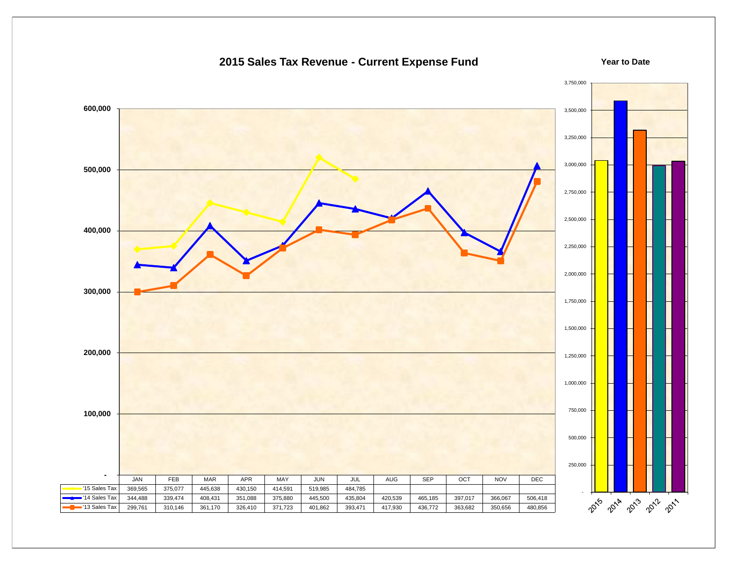

### **2015 Sales Tax Revenue - Current Expense Fund**

**Year to Date**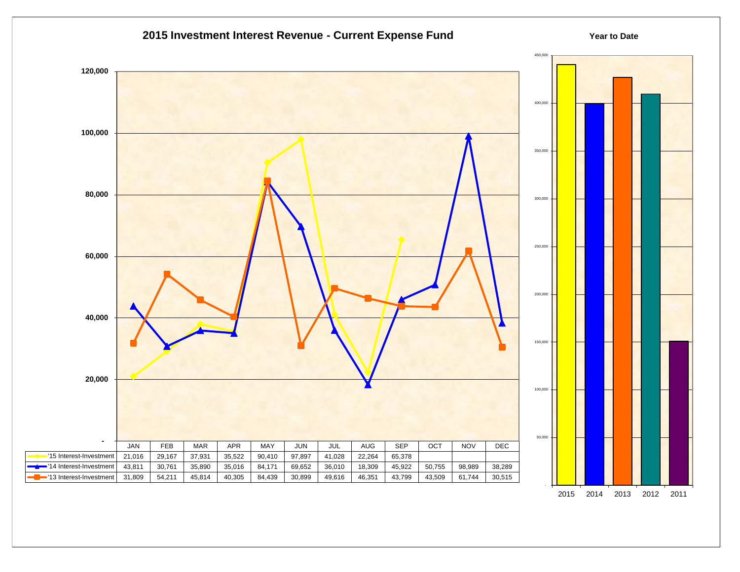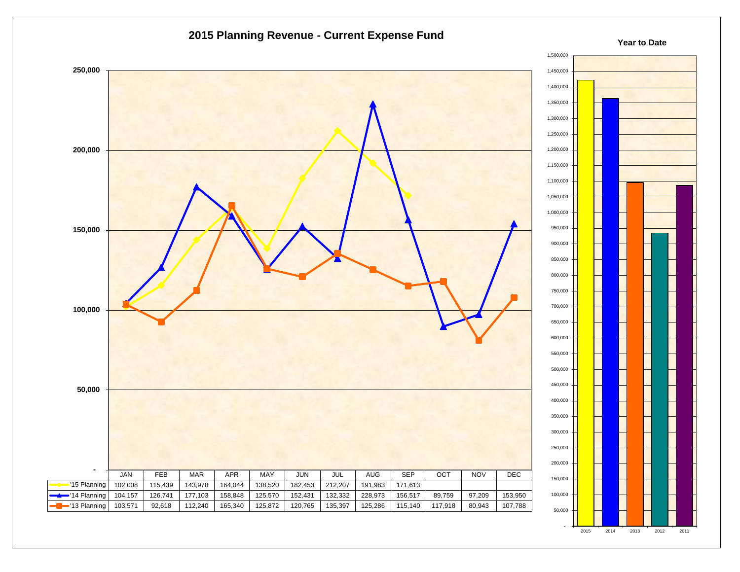

2015 2014 2013 2012 2011

-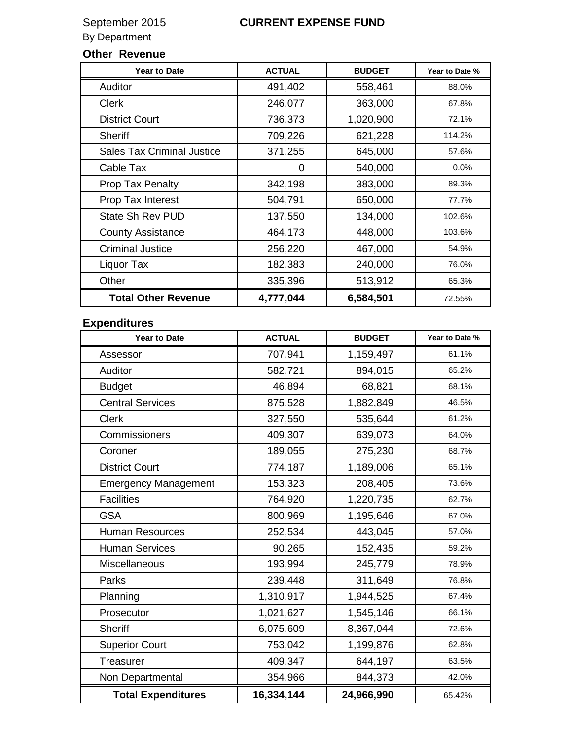### By Department

### **Other Revenue**

| <b>Year to Date</b>               | <b>ACTUAL</b> | <b>BUDGET</b> | Year to Date % |
|-----------------------------------|---------------|---------------|----------------|
| Auditor                           | 491,402       | 558,461       | 88.0%          |
| <b>Clerk</b>                      | 246,077       | 363,000       | 67.8%          |
| <b>District Court</b>             | 736,373       | 1,020,900     | 72.1%          |
| <b>Sheriff</b>                    | 709,226       | 621,228       | 114.2%         |
| <b>Sales Tax Criminal Justice</b> | 371,255       | 645,000       | 57.6%          |
| Cable Tax                         | 0             | 540,000       | 0.0%           |
| <b>Prop Tax Penalty</b>           | 342,198       | 383,000       | 89.3%          |
| Prop Tax Interest                 | 504,791       | 650,000       | 77.7%          |
| <b>State Sh Rev PUD</b>           | 137,550       | 134,000       | 102.6%         |
| <b>County Assistance</b>          | 464,173       | 448,000       | 103.6%         |
| <b>Criminal Justice</b>           | 256,220       | 467,000       | 54.9%          |
| Liquor Tax                        | 182,383       | 240,000       | 76.0%          |
| Other                             | 335,396       | 513,912       | 65.3%          |
| <b>Total Other Revenue</b>        | 4,777,044     | 6,584,501     | 72.55%         |

### **Expenditures**

| <b>Year to Date</b>         | <b>ACTUAL</b> | <b>BUDGET</b> | Year to Date % |
|-----------------------------|---------------|---------------|----------------|
| Assessor                    | 707,941       | 1,159,497     | 61.1%          |
| Auditor                     | 582,721       | 894,015       | 65.2%          |
| <b>Budget</b>               | 46,894        | 68,821        | 68.1%          |
| <b>Central Services</b>     | 875,528       | 1,882,849     | 46.5%          |
| <b>Clerk</b>                | 327,550       | 535,644       | 61.2%          |
| Commissioners               | 409,307       | 639,073       | 64.0%          |
| Coroner                     | 189,055       | 275,230       | 68.7%          |
| <b>District Court</b>       | 774,187       | 1,189,006     | 65.1%          |
| <b>Emergency Management</b> | 153,323       | 208,405       | 73.6%          |
| <b>Facilities</b>           | 764,920       | 1,220,735     | 62.7%          |
| <b>GSA</b>                  | 800,969       | 1,195,646     | 67.0%          |
| <b>Human Resources</b>      | 252,534       | 443,045       | 57.0%          |
| <b>Human Services</b>       | 90,265        | 152,435       | 59.2%          |
| Miscellaneous               | 193,994       | 245,779       | 78.9%          |
| Parks                       | 239,448       | 311,649       | 76.8%          |
| Planning                    | 1,310,917     | 1,944,525     | 67.4%          |
| Prosecutor                  | 1,021,627     | 1,545,146     | 66.1%          |
| <b>Sheriff</b>              | 6,075,609     | 8,367,044     | 72.6%          |
| <b>Superior Court</b>       | 753,042       | 1,199,876     | 62.8%          |
| <b>Treasurer</b>            | 409,347       | 644,197       | 63.5%          |
| Non Departmental            | 354,966       | 844,373       | 42.0%          |
| <b>Total Expenditures</b>   | 16,334,144    | 24,966,990    | 65.42%         |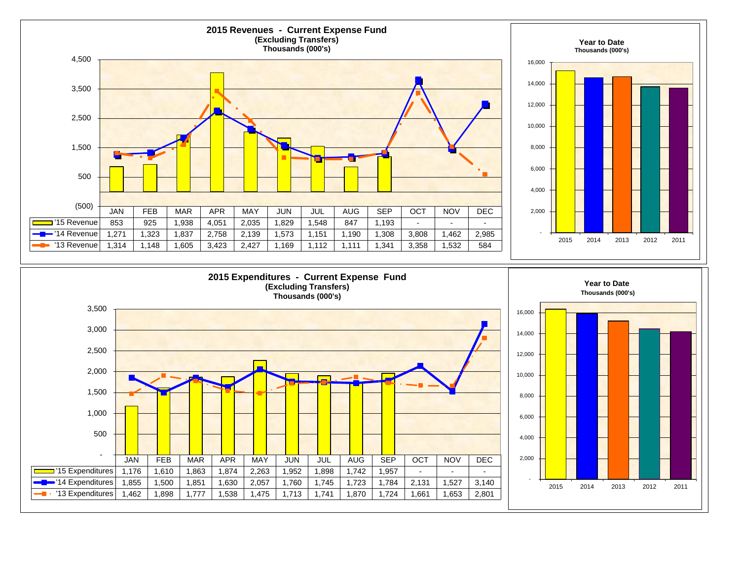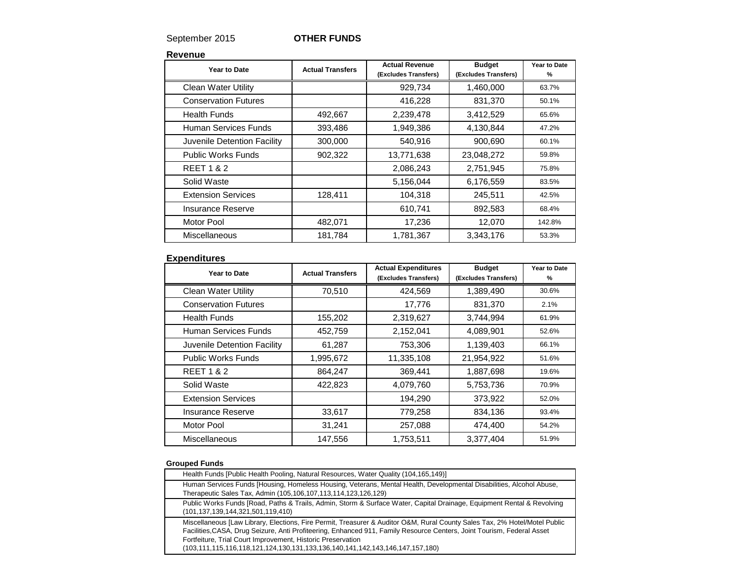### September 2015 **OTHER FUNDS**

**Revenue**

| Year to Date                | <b>Actual Transfers</b> | <b>Actual Revenue</b><br>(Excludes Transfers) | <b>Budget</b><br>(Excludes Transfers) | Year to Date<br>% |
|-----------------------------|-------------------------|-----------------------------------------------|---------------------------------------|-------------------|
| <b>Clean Water Utility</b>  |                         | 929,734                                       | 1,460,000                             | 63.7%             |
| <b>Conservation Futures</b> |                         | 416,228                                       | 831,370                               | 50.1%             |
| Health Funds                | 492,667                 | 2,239,478                                     | 3,412,529                             | 65.6%             |
| Human Services Funds        | 393,486                 | 1,949,386                                     | 4,130,844                             | 47.2%             |
| Juvenile Detention Facility | 300,000                 | 540,916                                       | 900,690                               | 60.1%             |
| <b>Public Works Funds</b>   | 902,322                 | 13,771,638                                    | 23,048,272                            | 59.8%             |
| <b>REET 1 &amp; 2</b>       |                         | 2,086,243                                     | 2,751,945                             | 75.8%             |
| Solid Waste                 |                         | 5,156,044                                     | 6,176,559                             | 83.5%             |
| <b>Extension Services</b>   | 128,411                 | 104,318                                       | 245,511                               | 42.5%             |
| Insurance Reserve           |                         | 610,741                                       | 892,583                               | 68.4%             |
| <b>Motor Pool</b>           | 482,071                 | 17,236                                        | 12,070                                | 142.8%            |
| Miscellaneous               | 181,784                 | 1,781,367                                     | 3,343,176                             | 53.3%             |

### **Expenditures**

| Year to Date                | <b>Actual Transfers</b> | <b>Actual Expenditures</b><br>(Excludes Transfers) | <b>Budget</b><br>(Excludes Transfers) | Year to Date<br>% |
|-----------------------------|-------------------------|----------------------------------------------------|---------------------------------------|-------------------|
| <b>Clean Water Utility</b>  | 70,510                  | 424.569                                            | 1,389,490                             | 30.6%             |
| <b>Conservation Futures</b> |                         | 17,776                                             | 831,370                               | 2.1%              |
| <b>Health Funds</b>         | 155,202                 | 2,319,627                                          | 3,744,994                             | 61.9%             |
| Human Services Funds        | 452,759                 | 2,152,041                                          | 4,089,901                             | 52.6%             |
| Juvenile Detention Facility | 61,287                  | 753,306                                            | 1,139,403                             | 66.1%             |
| <b>Public Works Funds</b>   | 1,995,672               | 11,335,108                                         | 21,954,922                            | 51.6%             |
| <b>REET 1 &amp; 2</b>       | 864,247                 | 369,441                                            | 1,887,698                             | 19.6%             |
| Solid Waste                 | 422,823                 | 4,079,760                                          | 5,753,736                             | 70.9%             |
| <b>Extension Services</b>   |                         | 194,290                                            | 373,922                               | 52.0%             |
| Insurance Reserve           | 33,617                  | 779,258                                            | 834,136                               | 93.4%             |
| Motor Pool                  | 31,241                  | 257,088                                            | 474,400                               | 54.2%             |
| Miscellaneous               | 147,556                 | 1,753,511                                          | 3,377,404                             | 51.9%             |

#### **Grouped Funds**

| Health Funds [Public Health Pooling, Natural Resources, Water Quality (104,165,149)]                                                                                                                                                                                                                                                                                                                 |
|------------------------------------------------------------------------------------------------------------------------------------------------------------------------------------------------------------------------------------------------------------------------------------------------------------------------------------------------------------------------------------------------------|
| Human Services Funds [Housing, Homeless Housing, Veterans, Mental Health, Developmental Disabilities, Alcohol Abuse,<br>Therapeutic Sales Tax, Admin (105,106,107,113,114,123,126,129)                                                                                                                                                                                                               |
| Public Works Funds [Road, Paths & Trails, Admin, Storm & Surface Water, Capital Drainage, Equipment Rental & Revolving<br>(101,137,139,144,321,501,119,410)                                                                                                                                                                                                                                          |
| Miscellaneous [Law Library, Elections, Fire Permit, Treasurer & Auditor O&M, Rural County Sales Tax, 2% Hotel/Motel Public<br>Facilities, CASA, Drug Seizure, Anti Profiteering, Enhanced 911, Family Resource Centers, Joint Tourism, Federal Asset<br>Fortfeiture, Trial Court Improvement, Historic Preservation<br>(103,111,115,116,118,121,124,130,131,133,136,140,141,142,143,146,147,157,180) |
|                                                                                                                                                                                                                                                                                                                                                                                                      |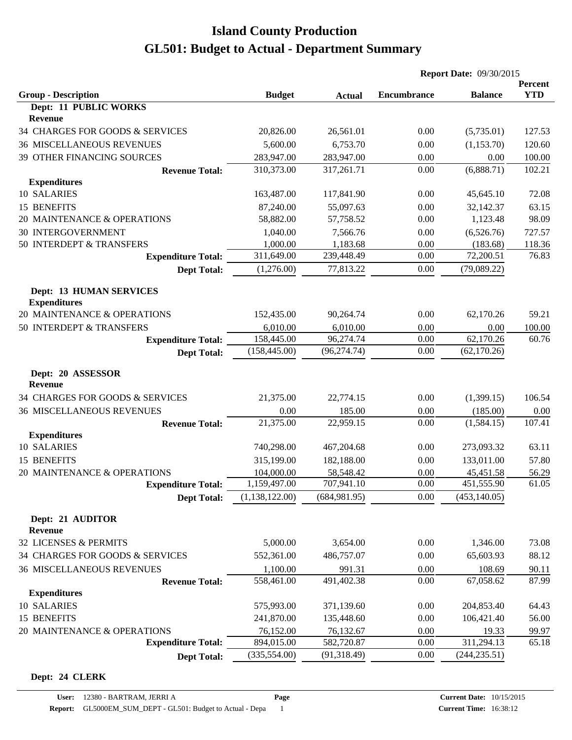|                                                       |                |               | <b>Report Date: 09/30/2015</b> |                |                       |
|-------------------------------------------------------|----------------|---------------|--------------------------------|----------------|-----------------------|
| <b>Group - Description</b>                            | <b>Budget</b>  | <b>Actual</b> | <b>Encumbrance</b>             | <b>Balance</b> | Percent<br><b>YTD</b> |
| Dept: 11 PUBLIC WORKS                                 |                |               |                                |                |                       |
| Revenue                                               |                |               |                                |                |                       |
| 34 CHARGES FOR GOODS & SERVICES                       | 20,826.00      | 26,561.01     | 0.00                           | (5,735.01)     | 127.53                |
| <b>36 MISCELLANEOUS REVENUES</b>                      | 5,600.00       | 6,753.70      | 0.00                           | (1,153.70)     | 120.60                |
| 39 OTHER FINANCING SOURCES                            | 283,947.00     | 283,947.00    | 0.00                           | 0.00           | 100.00                |
| <b>Revenue Total:</b>                                 | 310,373.00     | 317,261.71    | 0.00                           | (6,888.71)     | 102.21                |
| <b>Expenditures</b>                                   |                |               |                                |                |                       |
| 10 SALARIES                                           | 163,487.00     | 117,841.90    | 0.00                           | 45,645.10      | 72.08                 |
| 15 BENEFITS                                           | 87,240.00      | 55,097.63     | 0.00                           | 32,142.37      | 63.15                 |
| 20 MAINTENANCE & OPERATIONS                           | 58,882.00      | 57,758.52     | 0.00                           | 1,123.48       | 98.09                 |
| <b>30 INTERGOVERNMENT</b>                             | 1,040.00       | 7,566.76      | 0.00                           | (6,526.76)     | 727.57                |
| 50 INTERDEPT & TRANSFERS                              | 1,000.00       | 1,183.68      | 0.00                           | (183.68)       | 118.36                |
| <b>Expenditure Total:</b>                             | 311,649.00     | 239,448.49    | 0.00                           | 72,200.51      | 76.83                 |
| <b>Dept Total:</b>                                    | (1,276.00)     | 77,813.22     | 0.00                           | (79,089.22)    |                       |
| <b>Dept: 13 HUMAN SERVICES</b><br><b>Expenditures</b> |                |               |                                |                |                       |
| 20 MAINTENANCE & OPERATIONS                           | 152,435.00     | 90,264.74     | 0.00                           | 62,170.26      | 59.21                 |
| 50 INTERDEPT & TRANSFERS                              | 6,010.00       | 6,010.00      | 0.00                           | 0.00           | 100.00                |
| <b>Expenditure Total:</b>                             | 158,445.00     | 96,274.74     | 0.00                           | 62,170.26      | 60.76                 |
| <b>Dept Total:</b>                                    | (158, 445.00)  | (96, 274.74)  | 0.00                           | (62, 170.26)   |                       |
| Dept: 20 ASSESSOR<br><b>Revenue</b>                   |                |               |                                |                |                       |
| 34 CHARGES FOR GOODS & SERVICES                       | 21,375.00      | 22,774.15     | 0.00                           | (1,399.15)     | 106.54                |
| <b>36 MISCELLANEOUS REVENUES</b>                      | 0.00           | 185.00        | 0.00                           | (185.00)       | 0.00                  |
| <b>Revenue Total:</b>                                 | 21,375.00      | 22,959.15     | 0.00                           | (1,584.15)     | 107.41                |
| <b>Expenditures</b>                                   |                |               |                                |                |                       |
| 10 SALARIES                                           | 740,298.00     | 467,204.68    | 0.00                           | 273,093.32     | 63.11                 |
| 15 BENEFITS                                           | 315,199.00     | 182,188.00    | 0.00                           | 133,011.00     | 57.80                 |
| 20 MAINTENANCE & OPERATIONS                           | 104,000.00     | 58,548.42     | 0.00                           | 45,451.58      | 56.29                 |
| <b>Expenditure Total:</b>                             | 1,159,497.00   | 707,941.10    | 0.00                           | 451,555.90     | 61.05                 |
| <b>Dept Total:</b>                                    | (1,138,122.00) | (684, 981.95) | 0.00                           | (453, 140.05)  |                       |
| Dept: 21 AUDITOR<br>Revenue                           |                |               |                                |                |                       |
| 32 LICENSES & PERMITS                                 | 5,000.00       | 3,654.00      | 0.00                           | 1,346.00       | 73.08                 |
| 34 CHARGES FOR GOODS & SERVICES                       | 552,361.00     | 486,757.07    | 0.00                           | 65,603.93      | 88.12                 |
| <b>36 MISCELLANEOUS REVENUES</b>                      | 1,100.00       | 991.31        | 0.00                           | 108.69         | 90.11                 |
| <b>Revenue Total:</b>                                 | 558,461.00     | 491,402.38    | 0.00                           | 67,058.62      | 87.99                 |
| <b>Expenditures</b>                                   |                |               |                                |                |                       |
| 10 SALARIES                                           | 575,993.00     | 371,139.60    | 0.00                           | 204,853.40     | 64.43                 |
| 15 BENEFITS                                           | 241,870.00     | 135,448.60    | 0.00                           | 106,421.40     | 56.00                 |
| 20 MAINTENANCE & OPERATIONS                           | 76,152.00      | 76,132.67     | 0.00                           | 19.33          | 99.97                 |
| <b>Expenditure Total:</b>                             | 894,015.00     | 582,720.87    | 0.00                           | 311,294.13     | 65.18                 |
| <b>Dept Total:</b>                                    | (335, 554.00)  | (91, 318.49)  | 0.00                           | (244, 235.51)  |                       |

#### **Dept: 24 CLERK**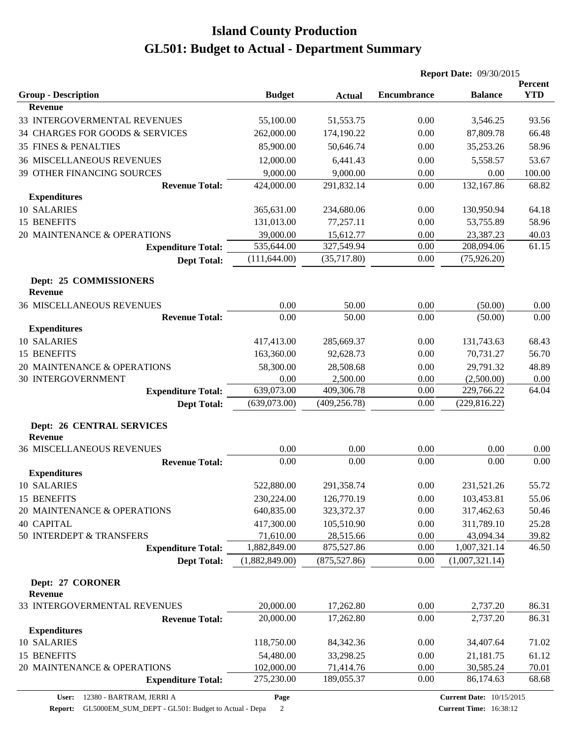| Percent<br><b>YTD</b><br><b>Encumbrance</b><br><b>Group - Description</b><br><b>Budget</b><br><b>Balance</b><br><b>Actual</b><br><b>Revenue</b><br>33 INTERGOVERMENTAL REVENUES<br>55,100.00<br>51,553.75<br>0.00<br>3,546.25<br>93.56<br>34 CHARGES FOR GOODS & SERVICES<br>262,000.00<br>174,190.22<br>0.00<br>87,809.78<br>66.48<br>58.96<br><b>35 FINES &amp; PENALTIES</b><br>35,253.26<br>85,900.00<br>50,646.74<br>0.00<br><b>36 MISCELLANEOUS REVENUES</b><br>53.67<br>12,000.00<br>6,441.43<br>0.00<br>5,558.57<br>9,000.00<br>9,000.00<br>0.00<br>0.00<br>100.00<br>39 OTHER FINANCING SOURCES<br><b>Revenue Total:</b><br>132,167.86<br>424,000.00<br>291,832.14<br>0.00<br>68.82<br><b>Expenditures</b><br>10 SALARIES<br>365,631.00<br>64.18<br>234,680.06<br>0.00<br>130,950.94<br>15 BENEFITS<br>58.96<br>131,013.00<br>77,257.11<br>0.00<br>53,755.89<br>20 MAINTENANCE & OPERATIONS<br>39,000.00<br>15,612.77<br>0.00<br>23,387.23<br>40.03<br>535,644.00<br>327,549.94<br>0.00<br>61.15<br>208,094.06<br><b>Expenditure Total:</b><br>(111, 644.00)<br>(35,717.80)<br>0.00<br>(75, 926.20)<br><b>Dept Total:</b><br>Dept: 25 COMMISSIONERS<br><b>Revenue</b><br><b>36 MISCELLANEOUS REVENUES</b><br>0.00<br>50.00<br>0.00<br>(50.00)<br>0.00<br><b>Revenue Total:</b><br>0.00<br>0.00<br>0.00<br>50.00<br>(50.00)<br><b>Expenditures</b><br>10 SALARIES<br>0.00<br>68.43<br>417,413.00<br>285,669.37<br>131,743.63<br>15 BENEFITS<br>163,360.00<br>92,628.73<br>0.00<br>70,731.27<br>56.70<br>58,300.00<br>48.89<br>20 MAINTENANCE & OPERATIONS<br>28,508.68<br>0.00<br>29,791.32<br><b>30 INTERGOVERNMENT</b><br>0.00<br>2,500.00<br>0.00<br>(2,500.00)<br>0.00<br>639,073.00<br>409,306.78<br>0.00<br>229,766.22<br>64.04<br><b>Expenditure Total:</b><br>(639,073.00)<br>(409, 256.78)<br>(229, 816.22)<br>0.00<br><b>Dept Total:</b><br><b>Dept: 26 CENTRAL SERVICES</b><br><b>Revenue</b><br><b>36 MISCELLANEOUS REVENUES</b><br>0.00<br>0.00<br>0.00<br>0.00<br>0.00<br>0.00<br>0.00<br>0.00<br>0.00<br>0.00<br><b>Revenue Total:</b><br><b>Expenditures</b><br>10 SALARIES<br>522,880.00<br>291,358.74<br>0.00<br>55.72<br>231,521.26<br>15 BENEFITS<br>230,224.00<br>126,770.19<br>0.00<br>103,453.81<br>55.06<br>20 MAINTENANCE & OPERATIONS<br>640,835.00<br>323,372.37<br>0.00<br>317,462.63<br>50.46<br><b>40 CAPITAL</b><br>417,300.00<br>105,510.90<br>311,789.10<br>25.28<br>0.00<br>50 INTERDEPT & TRANSFERS<br>71,610.00<br>28,515.66<br>0.00<br>39.82<br>43,094.34<br><b>Expenditure Total:</b><br>1,882,849.00<br>875,527.86<br>0.00<br>1,007,321.14<br>46.50<br>(1,882,849.00)<br>(1,007,321.14)<br>(875, 527.86)<br>0.00<br><b>Dept Total:</b><br>Dept: 27 CORONER<br><b>Revenue</b><br>33 INTERGOVERMENTAL REVENUES<br>20,000.00<br>0.00<br>2,737.20<br>17,262.80<br>86.31<br>20,000.00<br>17,262.80<br>0.00<br>86.31<br>2,737.20<br><b>Revenue Total:</b><br><b>Expenditures</b><br>118,750.00<br>84,342.36<br>0.00<br>34,407.64<br>71.02<br>54,480.00<br>0.00<br>21,181.75<br>33,298.25<br>61.12<br>20 MAINTENANCE & OPERATIONS<br>102,000.00<br>71,414.76<br>0.00<br>30,585.24<br>70.01<br>0.00<br>275,230.00<br>189,055.37<br>86,174.63<br>68.68<br><b>Expenditure Total:</b> |                    |  | <b>Report Date: 09/30/2015</b> |  |  |
|---------------------------------------------------------------------------------------------------------------------------------------------------------------------------------------------------------------------------------------------------------------------------------------------------------------------------------------------------------------------------------------------------------------------------------------------------------------------------------------------------------------------------------------------------------------------------------------------------------------------------------------------------------------------------------------------------------------------------------------------------------------------------------------------------------------------------------------------------------------------------------------------------------------------------------------------------------------------------------------------------------------------------------------------------------------------------------------------------------------------------------------------------------------------------------------------------------------------------------------------------------------------------------------------------------------------------------------------------------------------------------------------------------------------------------------------------------------------------------------------------------------------------------------------------------------------------------------------------------------------------------------------------------------------------------------------------------------------------------------------------------------------------------------------------------------------------------------------------------------------------------------------------------------------------------------------------------------------------------------------------------------------------------------------------------------------------------------------------------------------------------------------------------------------------------------------------------------------------------------------------------------------------------------------------------------------------------------------------------------------------------------------------------------------------------------------------------------------------------------------------------------------------------------------------------------------------------------------------------------------------------------------------------------------------------------------------------------------------------------------------------------------------------------------------------------------------------------------------------------------------------------------------------------------------------------------------------------------------------------------------------------------------------------------------------------------------------------------------------------------------------------------------------------------------------------------------------------------------|--------------------|--|--------------------------------|--|--|
|                                                                                                                                                                                                                                                                                                                                                                                                                                                                                                                                                                                                                                                                                                                                                                                                                                                                                                                                                                                                                                                                                                                                                                                                                                                                                                                                                                                                                                                                                                                                                                                                                                                                                                                                                                                                                                                                                                                                                                                                                                                                                                                                                                                                                                                                                                                                                                                                                                                                                                                                                                                                                                                                                                                                                                                                                                                                                                                                                                                                                                                                                                                                                                                                                           |                    |  |                                |  |  |
|                                                                                                                                                                                                                                                                                                                                                                                                                                                                                                                                                                                                                                                                                                                                                                                                                                                                                                                                                                                                                                                                                                                                                                                                                                                                                                                                                                                                                                                                                                                                                                                                                                                                                                                                                                                                                                                                                                                                                                                                                                                                                                                                                                                                                                                                                                                                                                                                                                                                                                                                                                                                                                                                                                                                                                                                                                                                                                                                                                                                                                                                                                                                                                                                                           |                    |  |                                |  |  |
|                                                                                                                                                                                                                                                                                                                                                                                                                                                                                                                                                                                                                                                                                                                                                                                                                                                                                                                                                                                                                                                                                                                                                                                                                                                                                                                                                                                                                                                                                                                                                                                                                                                                                                                                                                                                                                                                                                                                                                                                                                                                                                                                                                                                                                                                                                                                                                                                                                                                                                                                                                                                                                                                                                                                                                                                                                                                                                                                                                                                                                                                                                                                                                                                                           |                    |  |                                |  |  |
|                                                                                                                                                                                                                                                                                                                                                                                                                                                                                                                                                                                                                                                                                                                                                                                                                                                                                                                                                                                                                                                                                                                                                                                                                                                                                                                                                                                                                                                                                                                                                                                                                                                                                                                                                                                                                                                                                                                                                                                                                                                                                                                                                                                                                                                                                                                                                                                                                                                                                                                                                                                                                                                                                                                                                                                                                                                                                                                                                                                                                                                                                                                                                                                                                           |                    |  |                                |  |  |
|                                                                                                                                                                                                                                                                                                                                                                                                                                                                                                                                                                                                                                                                                                                                                                                                                                                                                                                                                                                                                                                                                                                                                                                                                                                                                                                                                                                                                                                                                                                                                                                                                                                                                                                                                                                                                                                                                                                                                                                                                                                                                                                                                                                                                                                                                                                                                                                                                                                                                                                                                                                                                                                                                                                                                                                                                                                                                                                                                                                                                                                                                                                                                                                                                           |                    |  |                                |  |  |
|                                                                                                                                                                                                                                                                                                                                                                                                                                                                                                                                                                                                                                                                                                                                                                                                                                                                                                                                                                                                                                                                                                                                                                                                                                                                                                                                                                                                                                                                                                                                                                                                                                                                                                                                                                                                                                                                                                                                                                                                                                                                                                                                                                                                                                                                                                                                                                                                                                                                                                                                                                                                                                                                                                                                                                                                                                                                                                                                                                                                                                                                                                                                                                                                                           |                    |  |                                |  |  |
|                                                                                                                                                                                                                                                                                                                                                                                                                                                                                                                                                                                                                                                                                                                                                                                                                                                                                                                                                                                                                                                                                                                                                                                                                                                                                                                                                                                                                                                                                                                                                                                                                                                                                                                                                                                                                                                                                                                                                                                                                                                                                                                                                                                                                                                                                                                                                                                                                                                                                                                                                                                                                                                                                                                                                                                                                                                                                                                                                                                                                                                                                                                                                                                                                           |                    |  |                                |  |  |
|                                                                                                                                                                                                                                                                                                                                                                                                                                                                                                                                                                                                                                                                                                                                                                                                                                                                                                                                                                                                                                                                                                                                                                                                                                                                                                                                                                                                                                                                                                                                                                                                                                                                                                                                                                                                                                                                                                                                                                                                                                                                                                                                                                                                                                                                                                                                                                                                                                                                                                                                                                                                                                                                                                                                                                                                                                                                                                                                                                                                                                                                                                                                                                                                                           |                    |  |                                |  |  |
|                                                                                                                                                                                                                                                                                                                                                                                                                                                                                                                                                                                                                                                                                                                                                                                                                                                                                                                                                                                                                                                                                                                                                                                                                                                                                                                                                                                                                                                                                                                                                                                                                                                                                                                                                                                                                                                                                                                                                                                                                                                                                                                                                                                                                                                                                                                                                                                                                                                                                                                                                                                                                                                                                                                                                                                                                                                                                                                                                                                                                                                                                                                                                                                                                           |                    |  |                                |  |  |
|                                                                                                                                                                                                                                                                                                                                                                                                                                                                                                                                                                                                                                                                                                                                                                                                                                                                                                                                                                                                                                                                                                                                                                                                                                                                                                                                                                                                                                                                                                                                                                                                                                                                                                                                                                                                                                                                                                                                                                                                                                                                                                                                                                                                                                                                                                                                                                                                                                                                                                                                                                                                                                                                                                                                                                                                                                                                                                                                                                                                                                                                                                                                                                                                                           |                    |  |                                |  |  |
|                                                                                                                                                                                                                                                                                                                                                                                                                                                                                                                                                                                                                                                                                                                                                                                                                                                                                                                                                                                                                                                                                                                                                                                                                                                                                                                                                                                                                                                                                                                                                                                                                                                                                                                                                                                                                                                                                                                                                                                                                                                                                                                                                                                                                                                                                                                                                                                                                                                                                                                                                                                                                                                                                                                                                                                                                                                                                                                                                                                                                                                                                                                                                                                                                           |                    |  |                                |  |  |
|                                                                                                                                                                                                                                                                                                                                                                                                                                                                                                                                                                                                                                                                                                                                                                                                                                                                                                                                                                                                                                                                                                                                                                                                                                                                                                                                                                                                                                                                                                                                                                                                                                                                                                                                                                                                                                                                                                                                                                                                                                                                                                                                                                                                                                                                                                                                                                                                                                                                                                                                                                                                                                                                                                                                                                                                                                                                                                                                                                                                                                                                                                                                                                                                                           |                    |  |                                |  |  |
|                                                                                                                                                                                                                                                                                                                                                                                                                                                                                                                                                                                                                                                                                                                                                                                                                                                                                                                                                                                                                                                                                                                                                                                                                                                                                                                                                                                                                                                                                                                                                                                                                                                                                                                                                                                                                                                                                                                                                                                                                                                                                                                                                                                                                                                                                                                                                                                                                                                                                                                                                                                                                                                                                                                                                                                                                                                                                                                                                                                                                                                                                                                                                                                                                           |                    |  |                                |  |  |
|                                                                                                                                                                                                                                                                                                                                                                                                                                                                                                                                                                                                                                                                                                                                                                                                                                                                                                                                                                                                                                                                                                                                                                                                                                                                                                                                                                                                                                                                                                                                                                                                                                                                                                                                                                                                                                                                                                                                                                                                                                                                                                                                                                                                                                                                                                                                                                                                                                                                                                                                                                                                                                                                                                                                                                                                                                                                                                                                                                                                                                                                                                                                                                                                                           |                    |  |                                |  |  |
|                                                                                                                                                                                                                                                                                                                                                                                                                                                                                                                                                                                                                                                                                                                                                                                                                                                                                                                                                                                                                                                                                                                                                                                                                                                                                                                                                                                                                                                                                                                                                                                                                                                                                                                                                                                                                                                                                                                                                                                                                                                                                                                                                                                                                                                                                                                                                                                                                                                                                                                                                                                                                                                                                                                                                                                                                                                                                                                                                                                                                                                                                                                                                                                                                           |                    |  |                                |  |  |
|                                                                                                                                                                                                                                                                                                                                                                                                                                                                                                                                                                                                                                                                                                                                                                                                                                                                                                                                                                                                                                                                                                                                                                                                                                                                                                                                                                                                                                                                                                                                                                                                                                                                                                                                                                                                                                                                                                                                                                                                                                                                                                                                                                                                                                                                                                                                                                                                                                                                                                                                                                                                                                                                                                                                                                                                                                                                                                                                                                                                                                                                                                                                                                                                                           |                    |  |                                |  |  |
|                                                                                                                                                                                                                                                                                                                                                                                                                                                                                                                                                                                                                                                                                                                                                                                                                                                                                                                                                                                                                                                                                                                                                                                                                                                                                                                                                                                                                                                                                                                                                                                                                                                                                                                                                                                                                                                                                                                                                                                                                                                                                                                                                                                                                                                                                                                                                                                                                                                                                                                                                                                                                                                                                                                                                                                                                                                                                                                                                                                                                                                                                                                                                                                                                           |                    |  |                                |  |  |
|                                                                                                                                                                                                                                                                                                                                                                                                                                                                                                                                                                                                                                                                                                                                                                                                                                                                                                                                                                                                                                                                                                                                                                                                                                                                                                                                                                                                                                                                                                                                                                                                                                                                                                                                                                                                                                                                                                                                                                                                                                                                                                                                                                                                                                                                                                                                                                                                                                                                                                                                                                                                                                                                                                                                                                                                                                                                                                                                                                                                                                                                                                                                                                                                                           |                    |  |                                |  |  |
|                                                                                                                                                                                                                                                                                                                                                                                                                                                                                                                                                                                                                                                                                                                                                                                                                                                                                                                                                                                                                                                                                                                                                                                                                                                                                                                                                                                                                                                                                                                                                                                                                                                                                                                                                                                                                                                                                                                                                                                                                                                                                                                                                                                                                                                                                                                                                                                                                                                                                                                                                                                                                                                                                                                                                                                                                                                                                                                                                                                                                                                                                                                                                                                                                           |                    |  |                                |  |  |
|                                                                                                                                                                                                                                                                                                                                                                                                                                                                                                                                                                                                                                                                                                                                                                                                                                                                                                                                                                                                                                                                                                                                                                                                                                                                                                                                                                                                                                                                                                                                                                                                                                                                                                                                                                                                                                                                                                                                                                                                                                                                                                                                                                                                                                                                                                                                                                                                                                                                                                                                                                                                                                                                                                                                                                                                                                                                                                                                                                                                                                                                                                                                                                                                                           |                    |  |                                |  |  |
|                                                                                                                                                                                                                                                                                                                                                                                                                                                                                                                                                                                                                                                                                                                                                                                                                                                                                                                                                                                                                                                                                                                                                                                                                                                                                                                                                                                                                                                                                                                                                                                                                                                                                                                                                                                                                                                                                                                                                                                                                                                                                                                                                                                                                                                                                                                                                                                                                                                                                                                                                                                                                                                                                                                                                                                                                                                                                                                                                                                                                                                                                                                                                                                                                           |                    |  |                                |  |  |
|                                                                                                                                                                                                                                                                                                                                                                                                                                                                                                                                                                                                                                                                                                                                                                                                                                                                                                                                                                                                                                                                                                                                                                                                                                                                                                                                                                                                                                                                                                                                                                                                                                                                                                                                                                                                                                                                                                                                                                                                                                                                                                                                                                                                                                                                                                                                                                                                                                                                                                                                                                                                                                                                                                                                                                                                                                                                                                                                                                                                                                                                                                                                                                                                                           |                    |  |                                |  |  |
|                                                                                                                                                                                                                                                                                                                                                                                                                                                                                                                                                                                                                                                                                                                                                                                                                                                                                                                                                                                                                                                                                                                                                                                                                                                                                                                                                                                                                                                                                                                                                                                                                                                                                                                                                                                                                                                                                                                                                                                                                                                                                                                                                                                                                                                                                                                                                                                                                                                                                                                                                                                                                                                                                                                                                                                                                                                                                                                                                                                                                                                                                                                                                                                                                           |                    |  |                                |  |  |
|                                                                                                                                                                                                                                                                                                                                                                                                                                                                                                                                                                                                                                                                                                                                                                                                                                                                                                                                                                                                                                                                                                                                                                                                                                                                                                                                                                                                                                                                                                                                                                                                                                                                                                                                                                                                                                                                                                                                                                                                                                                                                                                                                                                                                                                                                                                                                                                                                                                                                                                                                                                                                                                                                                                                                                                                                                                                                                                                                                                                                                                                                                                                                                                                                           |                    |  |                                |  |  |
|                                                                                                                                                                                                                                                                                                                                                                                                                                                                                                                                                                                                                                                                                                                                                                                                                                                                                                                                                                                                                                                                                                                                                                                                                                                                                                                                                                                                                                                                                                                                                                                                                                                                                                                                                                                                                                                                                                                                                                                                                                                                                                                                                                                                                                                                                                                                                                                                                                                                                                                                                                                                                                                                                                                                                                                                                                                                                                                                                                                                                                                                                                                                                                                                                           |                    |  |                                |  |  |
|                                                                                                                                                                                                                                                                                                                                                                                                                                                                                                                                                                                                                                                                                                                                                                                                                                                                                                                                                                                                                                                                                                                                                                                                                                                                                                                                                                                                                                                                                                                                                                                                                                                                                                                                                                                                                                                                                                                                                                                                                                                                                                                                                                                                                                                                                                                                                                                                                                                                                                                                                                                                                                                                                                                                                                                                                                                                                                                                                                                                                                                                                                                                                                                                                           |                    |  |                                |  |  |
|                                                                                                                                                                                                                                                                                                                                                                                                                                                                                                                                                                                                                                                                                                                                                                                                                                                                                                                                                                                                                                                                                                                                                                                                                                                                                                                                                                                                                                                                                                                                                                                                                                                                                                                                                                                                                                                                                                                                                                                                                                                                                                                                                                                                                                                                                                                                                                                                                                                                                                                                                                                                                                                                                                                                                                                                                                                                                                                                                                                                                                                                                                                                                                                                                           |                    |  |                                |  |  |
|                                                                                                                                                                                                                                                                                                                                                                                                                                                                                                                                                                                                                                                                                                                                                                                                                                                                                                                                                                                                                                                                                                                                                                                                                                                                                                                                                                                                                                                                                                                                                                                                                                                                                                                                                                                                                                                                                                                                                                                                                                                                                                                                                                                                                                                                                                                                                                                                                                                                                                                                                                                                                                                                                                                                                                                                                                                                                                                                                                                                                                                                                                                                                                                                                           |                    |  |                                |  |  |
|                                                                                                                                                                                                                                                                                                                                                                                                                                                                                                                                                                                                                                                                                                                                                                                                                                                                                                                                                                                                                                                                                                                                                                                                                                                                                                                                                                                                                                                                                                                                                                                                                                                                                                                                                                                                                                                                                                                                                                                                                                                                                                                                                                                                                                                                                                                                                                                                                                                                                                                                                                                                                                                                                                                                                                                                                                                                                                                                                                                                                                                                                                                                                                                                                           |                    |  |                                |  |  |
|                                                                                                                                                                                                                                                                                                                                                                                                                                                                                                                                                                                                                                                                                                                                                                                                                                                                                                                                                                                                                                                                                                                                                                                                                                                                                                                                                                                                                                                                                                                                                                                                                                                                                                                                                                                                                                                                                                                                                                                                                                                                                                                                                                                                                                                                                                                                                                                                                                                                                                                                                                                                                                                                                                                                                                                                                                                                                                                                                                                                                                                                                                                                                                                                                           |                    |  |                                |  |  |
|                                                                                                                                                                                                                                                                                                                                                                                                                                                                                                                                                                                                                                                                                                                                                                                                                                                                                                                                                                                                                                                                                                                                                                                                                                                                                                                                                                                                                                                                                                                                                                                                                                                                                                                                                                                                                                                                                                                                                                                                                                                                                                                                                                                                                                                                                                                                                                                                                                                                                                                                                                                                                                                                                                                                                                                                                                                                                                                                                                                                                                                                                                                                                                                                                           |                    |  |                                |  |  |
|                                                                                                                                                                                                                                                                                                                                                                                                                                                                                                                                                                                                                                                                                                                                                                                                                                                                                                                                                                                                                                                                                                                                                                                                                                                                                                                                                                                                                                                                                                                                                                                                                                                                                                                                                                                                                                                                                                                                                                                                                                                                                                                                                                                                                                                                                                                                                                                                                                                                                                                                                                                                                                                                                                                                                                                                                                                                                                                                                                                                                                                                                                                                                                                                                           |                    |  |                                |  |  |
|                                                                                                                                                                                                                                                                                                                                                                                                                                                                                                                                                                                                                                                                                                                                                                                                                                                                                                                                                                                                                                                                                                                                                                                                                                                                                                                                                                                                                                                                                                                                                                                                                                                                                                                                                                                                                                                                                                                                                                                                                                                                                                                                                                                                                                                                                                                                                                                                                                                                                                                                                                                                                                                                                                                                                                                                                                                                                                                                                                                                                                                                                                                                                                                                                           |                    |  |                                |  |  |
|                                                                                                                                                                                                                                                                                                                                                                                                                                                                                                                                                                                                                                                                                                                                                                                                                                                                                                                                                                                                                                                                                                                                                                                                                                                                                                                                                                                                                                                                                                                                                                                                                                                                                                                                                                                                                                                                                                                                                                                                                                                                                                                                                                                                                                                                                                                                                                                                                                                                                                                                                                                                                                                                                                                                                                                                                                                                                                                                                                                                                                                                                                                                                                                                                           |                    |  |                                |  |  |
|                                                                                                                                                                                                                                                                                                                                                                                                                                                                                                                                                                                                                                                                                                                                                                                                                                                                                                                                                                                                                                                                                                                                                                                                                                                                                                                                                                                                                                                                                                                                                                                                                                                                                                                                                                                                                                                                                                                                                                                                                                                                                                                                                                                                                                                                                                                                                                                                                                                                                                                                                                                                                                                                                                                                                                                                                                                                                                                                                                                                                                                                                                                                                                                                                           |                    |  |                                |  |  |
|                                                                                                                                                                                                                                                                                                                                                                                                                                                                                                                                                                                                                                                                                                                                                                                                                                                                                                                                                                                                                                                                                                                                                                                                                                                                                                                                                                                                                                                                                                                                                                                                                                                                                                                                                                                                                                                                                                                                                                                                                                                                                                                                                                                                                                                                                                                                                                                                                                                                                                                                                                                                                                                                                                                                                                                                                                                                                                                                                                                                                                                                                                                                                                                                                           |                    |  |                                |  |  |
|                                                                                                                                                                                                                                                                                                                                                                                                                                                                                                                                                                                                                                                                                                                                                                                                                                                                                                                                                                                                                                                                                                                                                                                                                                                                                                                                                                                                                                                                                                                                                                                                                                                                                                                                                                                                                                                                                                                                                                                                                                                                                                                                                                                                                                                                                                                                                                                                                                                                                                                                                                                                                                                                                                                                                                                                                                                                                                                                                                                                                                                                                                                                                                                                                           |                    |  |                                |  |  |
|                                                                                                                                                                                                                                                                                                                                                                                                                                                                                                                                                                                                                                                                                                                                                                                                                                                                                                                                                                                                                                                                                                                                                                                                                                                                                                                                                                                                                                                                                                                                                                                                                                                                                                                                                                                                                                                                                                                                                                                                                                                                                                                                                                                                                                                                                                                                                                                                                                                                                                                                                                                                                                                                                                                                                                                                                                                                                                                                                                                                                                                                                                                                                                                                                           |                    |  |                                |  |  |
|                                                                                                                                                                                                                                                                                                                                                                                                                                                                                                                                                                                                                                                                                                                                                                                                                                                                                                                                                                                                                                                                                                                                                                                                                                                                                                                                                                                                                                                                                                                                                                                                                                                                                                                                                                                                                                                                                                                                                                                                                                                                                                                                                                                                                                                                                                                                                                                                                                                                                                                                                                                                                                                                                                                                                                                                                                                                                                                                                                                                                                                                                                                                                                                                                           |                    |  |                                |  |  |
|                                                                                                                                                                                                                                                                                                                                                                                                                                                                                                                                                                                                                                                                                                                                                                                                                                                                                                                                                                                                                                                                                                                                                                                                                                                                                                                                                                                                                                                                                                                                                                                                                                                                                                                                                                                                                                                                                                                                                                                                                                                                                                                                                                                                                                                                                                                                                                                                                                                                                                                                                                                                                                                                                                                                                                                                                                                                                                                                                                                                                                                                                                                                                                                                                           |                    |  |                                |  |  |
|                                                                                                                                                                                                                                                                                                                                                                                                                                                                                                                                                                                                                                                                                                                                                                                                                                                                                                                                                                                                                                                                                                                                                                                                                                                                                                                                                                                                                                                                                                                                                                                                                                                                                                                                                                                                                                                                                                                                                                                                                                                                                                                                                                                                                                                                                                                                                                                                                                                                                                                                                                                                                                                                                                                                                                                                                                                                                                                                                                                                                                                                                                                                                                                                                           |                    |  |                                |  |  |
|                                                                                                                                                                                                                                                                                                                                                                                                                                                                                                                                                                                                                                                                                                                                                                                                                                                                                                                                                                                                                                                                                                                                                                                                                                                                                                                                                                                                                                                                                                                                                                                                                                                                                                                                                                                                                                                                                                                                                                                                                                                                                                                                                                                                                                                                                                                                                                                                                                                                                                                                                                                                                                                                                                                                                                                                                                                                                                                                                                                                                                                                                                                                                                                                                           |                    |  |                                |  |  |
|                                                                                                                                                                                                                                                                                                                                                                                                                                                                                                                                                                                                                                                                                                                                                                                                                                                                                                                                                                                                                                                                                                                                                                                                                                                                                                                                                                                                                                                                                                                                                                                                                                                                                                                                                                                                                                                                                                                                                                                                                                                                                                                                                                                                                                                                                                                                                                                                                                                                                                                                                                                                                                                                                                                                                                                                                                                                                                                                                                                                                                                                                                                                                                                                                           | <b>10 SALARIES</b> |  |                                |  |  |
|                                                                                                                                                                                                                                                                                                                                                                                                                                                                                                                                                                                                                                                                                                                                                                                                                                                                                                                                                                                                                                                                                                                                                                                                                                                                                                                                                                                                                                                                                                                                                                                                                                                                                                                                                                                                                                                                                                                                                                                                                                                                                                                                                                                                                                                                                                                                                                                                                                                                                                                                                                                                                                                                                                                                                                                                                                                                                                                                                                                                                                                                                                                                                                                                                           | 15 BENEFITS        |  |                                |  |  |
|                                                                                                                                                                                                                                                                                                                                                                                                                                                                                                                                                                                                                                                                                                                                                                                                                                                                                                                                                                                                                                                                                                                                                                                                                                                                                                                                                                                                                                                                                                                                                                                                                                                                                                                                                                                                                                                                                                                                                                                                                                                                                                                                                                                                                                                                                                                                                                                                                                                                                                                                                                                                                                                                                                                                                                                                                                                                                                                                                                                                                                                                                                                                                                                                                           |                    |  |                                |  |  |
|                                                                                                                                                                                                                                                                                                                                                                                                                                                                                                                                                                                                                                                                                                                                                                                                                                                                                                                                                                                                                                                                                                                                                                                                                                                                                                                                                                                                                                                                                                                                                                                                                                                                                                                                                                                                                                                                                                                                                                                                                                                                                                                                                                                                                                                                                                                                                                                                                                                                                                                                                                                                                                                                                                                                                                                                                                                                                                                                                                                                                                                                                                                                                                                                                           |                    |  |                                |  |  |

**Page**

**Report:** GL5000EM\_SUM\_DEPT - GL501: Budget to Actual - Depa 2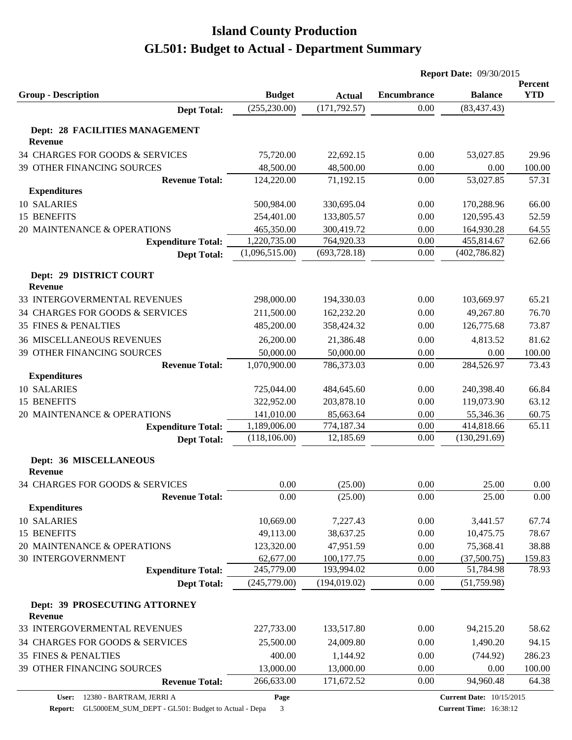|                                                 |                |               | <b>Report Date: 09/30/2015</b> |                |            |  |
|-------------------------------------------------|----------------|---------------|--------------------------------|----------------|------------|--|
|                                                 |                |               |                                |                | Percent    |  |
| <b>Group - Description</b>                      | <b>Budget</b>  | <b>Actual</b> | <b>Encumbrance</b>             | <b>Balance</b> | <b>YTD</b> |  |
| <b>Dept Total:</b>                              | (255, 230.00)  | (171, 792.57) | 0.00                           | (83, 437.43)   |            |  |
| Dept: 28 FACILITIES MANAGEMENT                  |                |               |                                |                |            |  |
| <b>Revenue</b>                                  |                |               |                                |                |            |  |
| 34 CHARGES FOR GOODS & SERVICES                 | 75,720.00      | 22,692.15     | 0.00                           | 53,027.85      | 29.96      |  |
| 39 OTHER FINANCING SOURCES                      | 48,500.00      | 48,500.00     | 0.00                           | 0.00           | 100.00     |  |
| <b>Revenue Total:</b>                           | 124,220.00     | 71,192.15     | 0.00                           | 53,027.85      | 57.31      |  |
| <b>Expenditures</b>                             |                |               |                                |                |            |  |
| 10 SALARIES                                     | 500,984.00     | 330,695.04    | 0.00                           | 170,288.96     | 66.00      |  |
| 15 BENEFITS                                     | 254,401.00     | 133,805.57    | 0.00                           | 120,595.43     | 52.59      |  |
| 20 MAINTENANCE & OPERATIONS                     | 465,350.00     | 300,419.72    | 0.00                           | 164,930.28     | 64.55      |  |
| <b>Expenditure Total:</b>                       | 1,220,735.00   | 764,920.33    | 0.00                           | 455,814.67     | 62.66      |  |
| <b>Dept Total:</b>                              | (1,096,515.00) | (693, 728.18) | 0.00                           | (402, 786.82)  |            |  |
|                                                 |                |               |                                |                |            |  |
| Dept: 29 DISTRICT COURT<br><b>Revenue</b>       |                |               |                                |                |            |  |
| 33 INTERGOVERMENTAL REVENUES                    | 298,000.00     | 194,330.03    | 0.00                           | 103,669.97     | 65.21      |  |
| 34 CHARGES FOR GOODS & SERVICES                 |                | 162,232.20    | 0.00                           |                |            |  |
|                                                 | 211,500.00     |               |                                | 49,267.80      | 76.70      |  |
| <b>35 FINES &amp; PENALTIES</b>                 | 485,200.00     | 358,424.32    | 0.00                           | 126,775.68     | 73.87      |  |
| <b>36 MISCELLANEOUS REVENUES</b>                | 26,200.00      | 21,386.48     | 0.00                           | 4,813.52       | 81.62      |  |
| 39 OTHER FINANCING SOURCES                      | 50,000.00      | 50,000.00     | 0.00                           | 0.00           | 100.00     |  |
| <b>Revenue Total:</b>                           | 1,070,900.00   | 786,373.03    | 0.00                           | 284,526.97     | 73.43      |  |
| <b>Expenditures</b>                             |                |               |                                |                |            |  |
| 10 SALARIES                                     | 725,044.00     | 484,645.60    | 0.00                           | 240,398.40     | 66.84      |  |
| 15 BENEFITS                                     | 322,952.00     | 203,878.10    | 0.00                           | 119,073.90     | 63.12      |  |
| 20 MAINTENANCE & OPERATIONS                     | 141,010.00     | 85,663.64     | 0.00                           | 55,346.36      | 60.75      |  |
| <b>Expenditure Total:</b>                       | 1,189,006.00   | 774,187.34    | 0.00                           | 414,818.66     | 65.11      |  |
| <b>Dept Total:</b>                              | (118, 106.00)  | 12,185.69     | 0.00                           | (130, 291.69)  |            |  |
| Dept: 36 MISCELLANEOUS                          |                |               |                                |                |            |  |
| <b>Revenue</b>                                  |                |               |                                |                |            |  |
| 34 CHARGES FOR GOODS & SERVICES                 | 0.00           | (25.00)       | 0.00                           | 25.00          | 0.00       |  |
| <b>Revenue Total:</b>                           | 0.00           | (25.00)       | 0.00                           | 25.00          | 0.00       |  |
| <b>Expenditures</b>                             |                |               |                                |                |            |  |
| 10 SALARIES                                     | 10,669.00      | 7,227.43      | 0.00                           | 3,441.57       | 67.74      |  |
| 15 BENEFITS                                     | 49,113.00      | 38,637.25     | 0.00                           | 10,475.75      | 78.67      |  |
| 20 MAINTENANCE & OPERATIONS                     | 123,320.00     | 47,951.59     | 0.00                           | 75,368.41      | 38.88      |  |
| <b>30 INTERGOVERNMENT</b>                       | 62,677.00      | 100,177.75    | 0.00                           | (37,500.75)    | 159.83     |  |
| <b>Expenditure Total:</b>                       | 245,779.00     | 193,994.02    | 0.00                           | 51,784.98      | 78.93      |  |
| <b>Dept Total:</b>                              | (245,779.00)   | (194, 019.02) | 0.00                           | (51, 759.98)   |            |  |
|                                                 |                |               |                                |                |            |  |
| Dept: 39 PROSECUTING ATTORNEY<br><b>Revenue</b> |                |               |                                |                |            |  |
| 33 INTERGOVERMENTAL REVENUES                    | 227,733.00     | 133,517.80    | 0.00                           | 94,215.20      | 58.62      |  |
| 34 CHARGES FOR GOODS & SERVICES                 | 25,500.00      | 24,009.80     | 0.00                           | 1,490.20       | 94.15      |  |
| <b>35 FINES &amp; PENALTIES</b>                 | 400.00         | 1,144.92      | 0.00                           | (744.92)       | 286.23     |  |
| 39 OTHER FINANCING SOURCES                      | 13,000.00      | 13,000.00     | 0.00                           | 0.00           | 100.00     |  |
| <b>Revenue Total:</b>                           | 266,633.00     | 171,672.52    | 0.00                           | 94,960.48      | 64.38      |  |
|                                                 |                |               |                                |                |            |  |

**Report:** GL5000EM\_SUM\_DEPT - GL501: Budget to Actual - Depa 3

**Page**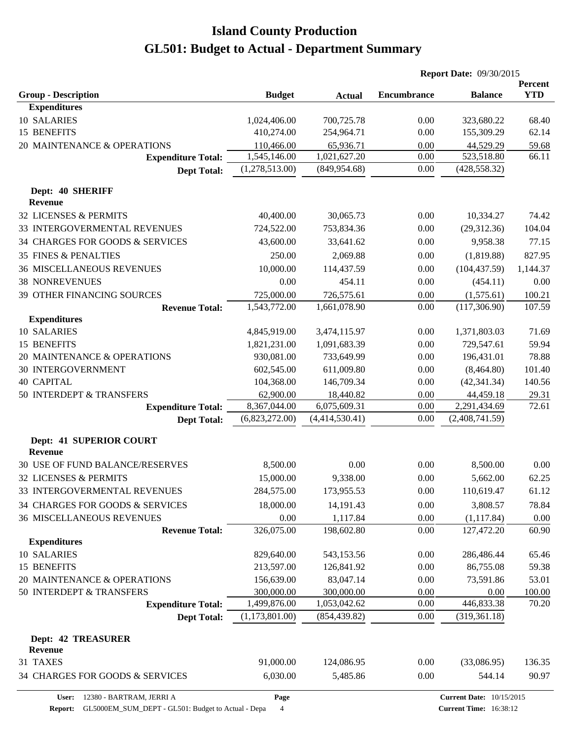|                                           |                |                | <b>Report Date: 09/30/2015</b> |                                 |                              |
|-------------------------------------------|----------------|----------------|--------------------------------|---------------------------------|------------------------------|
| <b>Group - Description</b>                | <b>Budget</b>  |                | <b>Encumbrance</b>             | <b>Balance</b>                  | <b>Percent</b><br><b>YTD</b> |
| <b>Expenditures</b>                       |                | <b>Actual</b>  |                                |                                 |                              |
| 10 SALARIES                               | 1,024,406.00   | 700,725.78     | 0.00                           | 323,680.22                      | 68.40                        |
| 15 BENEFITS                               | 410,274.00     | 254,964.71     | 0.00                           | 155,309.29                      | 62.14                        |
| 20 MAINTENANCE & OPERATIONS               | 110,466.00     | 65,936.71      | 0.00                           | 44,529.29                       | 59.68                        |
| <b>Expenditure Total:</b>                 | 1,545,146.00   | 1,021,627.20   | 0.00                           | 523,518.80                      | 66.11                        |
| <b>Dept Total:</b>                        | (1,278,513.00) | (849, 954.68)  | 0.00                           | (428, 558.32)                   |                              |
|                                           |                |                |                                |                                 |                              |
| Dept: 40 SHERIFF<br><b>Revenue</b>        |                |                |                                |                                 |                              |
| 32 LICENSES & PERMITS                     | 40,400.00      | 30,065.73      | 0.00                           | 10,334.27                       | 74.42                        |
| 33 INTERGOVERMENTAL REVENUES              | 724,522.00     | 753,834.36     | 0.00                           | (29,312.36)                     | 104.04                       |
| 34 CHARGES FOR GOODS & SERVICES           | 43,600.00      | 33,641.62      | 0.00                           | 9,958.38                        | 77.15                        |
| <b>35 FINES &amp; PENALTIES</b>           | 250.00         | 2,069.88       | 0.00                           | (1,819.88)                      | 827.95                       |
| <b>36 MISCELLANEOUS REVENUES</b>          | 10,000.00      | 114,437.59     | 0.00                           | (104, 437.59)                   | 1,144.37                     |
| <b>38 NONREVENUES</b>                     | 0.00           | 454.11         | 0.00                           | (454.11)                        | 0.00                         |
| 39 OTHER FINANCING SOURCES                | 725,000.00     | 726,575.61     | 0.00                           | (1,575.61)                      | 100.21                       |
| <b>Revenue Total:</b>                     | 1,543,772.00   | 1,661,078.90   | 0.00                           | (117,306.90)                    | 107.59                       |
| <b>Expenditures</b>                       |                |                |                                |                                 |                              |
| 10 SALARIES                               | 4,845,919.00   | 3,474,115.97   | 0.00                           | 1,371,803.03                    | 71.69                        |
| 15 BENEFITS                               | 1,821,231.00   | 1,091,683.39   | 0.00                           | 729,547.61                      | 59.94                        |
| 20 MAINTENANCE & OPERATIONS               | 930,081.00     | 733,649.99     | 0.00                           | 196,431.01                      | 78.88                        |
| <b>30 INTERGOVERNMENT</b>                 | 602,545.00     | 611,009.80     | 0.00                           | (8,464.80)                      | 101.40                       |
| <b>40 CAPITAL</b>                         | 104,368.00     | 146,709.34     | 0.00                           | (42, 341.34)                    | 140.56                       |
| 50 INTERDEPT & TRANSFERS                  | 62,900.00      | 18,440.82      | 0.00                           | 44,459.18                       | 29.31                        |
| <b>Expenditure Total:</b>                 | 8,367,044.00   | 6,075,609.31   | 0.00                           | 2,291,434.69                    | 72.61                        |
| <b>Dept Total:</b>                        | (6,823,272.00) | (4,414,530.41) | 0.00                           | (2,408,741.59)                  |                              |
| Dept: 41 SUPERIOR COURT<br><b>Revenue</b> |                |                |                                |                                 |                              |
| 30 USE OF FUND BALANCE/RESERVES           | 8,500.00       | 0.00           | 0.00                           | 8,500.00                        | 0.00                         |
| 32 LICENSES & PERMITS                     | 15,000.00      | 9,338.00       | 0.00                           | 5,662.00                        | 62.25                        |
| 33 INTERGOVERMENTAL REVENUES              | 284,575.00     | 173,955.53     | 0.00                           | 110,619.47                      | 61.12                        |
| 34 CHARGES FOR GOODS & SERVICES           | 18,000.00      | 14,191.43      | 0.00                           | 3,808.57                        | 78.84                        |
| <b>36 MISCELLANEOUS REVENUES</b>          | 0.00           | 1,117.84       | 0.00                           |                                 |                              |
| <b>Revenue Total:</b>                     | 326,075.00     | 198,602.80     | 0.00                           | (1, 117.84)<br>127,472.20       | 0.00<br>60.90                |
| <b>Expenditures</b>                       |                |                |                                |                                 |                              |
| 10 SALARIES                               | 829,640.00     | 543,153.56     | 0.00                           | 286,486.44                      | 65.46                        |
| 15 BENEFITS                               | 213,597.00     | 126,841.92     | 0.00                           | 86,755.08                       | 59.38                        |
| 20 MAINTENANCE & OPERATIONS               | 156,639.00     | 83,047.14      | 0.00                           | 73,591.86                       | 53.01                        |
| 50 INTERDEPT & TRANSFERS                  | 300,000.00     | 300,000.00     | 0.00                           | 0.00                            | 100.00                       |
| <b>Expenditure Total:</b>                 | 1,499,876.00   | 1,053,042.62   | 0.00                           | 446,833.38                      | 70.20                        |
| <b>Dept Total:</b>                        | (1,173,801.00) | (854, 439.82)  | 0.00                           | (319, 361.18)                   |                              |
| <b>Dept: 42 TREASURER</b>                 |                |                |                                |                                 |                              |
| <b>Revenue</b>                            |                |                |                                |                                 |                              |
| 31 TAXES                                  | 91,000.00      | 124,086.95     | 0.00                           | (33,086.95)                     | 136.35                       |
| 34 CHARGES FOR GOODS & SERVICES           | 6,030.00       | 5,485.86       | 0.00                           | 544.14                          | 90.97                        |
| User:<br>12380 - BARTRAM, JERRI A         | Page           |                |                                | <b>Current Date: 10/15/2015</b> |                              |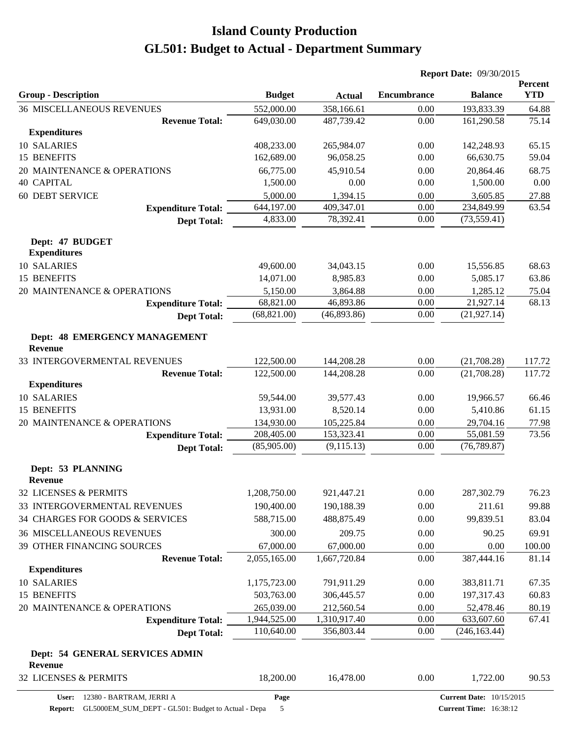|                                                   |               |               | <b>Report Date: 09/30/2015</b> |                                 |                       |  |
|---------------------------------------------------|---------------|---------------|--------------------------------|---------------------------------|-----------------------|--|
| <b>Group - Description</b>                        | <b>Budget</b> | <b>Actual</b> | <b>Encumbrance</b>             | <b>Balance</b>                  | Percent<br><b>YTD</b> |  |
| <b>36 MISCELLANEOUS REVENUES</b>                  | 552,000.00    | 358,166.61    | 0.00                           | 193,833.39                      | 64.88                 |  |
| <b>Revenue Total:</b>                             | 649,030.00    | 487,739.42    | 0.00                           | 161,290.58                      | 75.14                 |  |
| <b>Expenditures</b>                               |               |               |                                |                                 |                       |  |
| 10 SALARIES                                       | 408,233.00    | 265,984.07    | 0.00                           | 142,248.93                      | 65.15                 |  |
| 15 BENEFITS                                       | 162,689.00    | 96,058.25     | 0.00                           | 66,630.75                       | 59.04                 |  |
| 20 MAINTENANCE & OPERATIONS                       | 66,775.00     | 45,910.54     | 0.00                           | 20,864.46                       | 68.75                 |  |
| <b>40 CAPITAL</b>                                 | 1,500.00      | 0.00          | 0.00                           | 1,500.00                        | 0.00                  |  |
| <b>60 DEBT SERVICE</b>                            | 5,000.00      | 1,394.15      | 0.00                           | 3,605.85                        | 27.88                 |  |
| <b>Expenditure Total:</b>                         | 644,197.00    | 409,347.01    | 0.00                           | 234,849.99                      | 63.54                 |  |
| <b>Dept Total:</b>                                | 4,833.00      | 78,392.41     | 0.00                           | (73, 559.41)                    |                       |  |
| Dept: 47 BUDGET<br><b>Expenditures</b>            |               |               |                                |                                 |                       |  |
| 10 SALARIES                                       | 49,600.00     | 34,043.15     | 0.00                           | 15,556.85                       | 68.63                 |  |
| 15 BENEFITS                                       | 14,071.00     | 8,985.83      | 0.00                           | 5,085.17                        | 63.86                 |  |
| 20 MAINTENANCE & OPERATIONS                       | 5,150.00      | 3,864.88      | 0.00                           | 1,285.12                        | 75.04                 |  |
| <b>Expenditure Total:</b>                         | 68,821.00     | 46,893.86     | 0.00                           | 21,927.14                       | 68.13                 |  |
| <b>Dept Total:</b>                                | (68, 821.00)  | (46,893.86)   | 0.00                           | (21, 927.14)                    |                       |  |
| Dept: 48 EMERGENCY MANAGEMENT<br><b>Revenue</b>   |               |               |                                |                                 |                       |  |
| 33 INTERGOVERMENTAL REVENUES                      | 122,500.00    | 144,208.28    | 0.00                           | (21,708.28)                     | 117.72                |  |
| <b>Revenue Total:</b>                             | 122,500.00    | 144,208.28    | 0.00                           | (21,708.28)                     | 117.72                |  |
| <b>Expenditures</b>                               |               |               |                                |                                 |                       |  |
| 10 SALARIES                                       | 59,544.00     | 39,577.43     | 0.00                           | 19,966.57                       | 66.46                 |  |
| 15 BENEFITS                                       | 13,931.00     | 8,520.14      | 0.00                           | 5,410.86                        | 61.15                 |  |
| 20 MAINTENANCE & OPERATIONS                       | 134,930.00    | 105,225.84    | 0.00                           | 29,704.16                       | 77.98                 |  |
| <b>Expenditure Total:</b>                         | 208,405.00    | 153,323.41    | 0.00                           | 55,081.59                       | 73.56                 |  |
| <b>Dept Total:</b>                                | (85,905.00)   | (9,115.13)    | 0.00                           | (76, 789.87)                    |                       |  |
| Dept: 53 PLANNING<br><b>Revenue</b>               |               |               |                                |                                 |                       |  |
| 32 LICENSES & PERMITS                             | 1,208,750.00  | 921,447.21    | 0.00                           | 287,302.79                      | 76.23                 |  |
| 33 INTERGOVERMENTAL REVENUES                      | 190,400.00    | 190,188.39    | 0.00                           | 211.61                          | 99.88                 |  |
| 34 CHARGES FOR GOODS & SERVICES                   | 588,715.00    | 488,875.49    | 0.00                           | 99,839.51                       | 83.04                 |  |
| <b>36 MISCELLANEOUS REVENUES</b>                  | 300.00        | 209.75        | 0.00                           | 90.25                           | 69.91                 |  |
| 39 OTHER FINANCING SOURCES                        | 67,000.00     | 67,000.00     | 0.00                           | 0.00                            | 100.00                |  |
| <b>Revenue Total:</b>                             | 2,055,165.00  | 1,667,720.84  | 0.00                           | 387,444.16                      | 81.14                 |  |
| <b>Expenditures</b>                               |               |               |                                |                                 |                       |  |
| 10 SALARIES                                       | 1,175,723.00  | 791,911.29    | 0.00                           | 383,811.71                      | 67.35                 |  |
| 15 BENEFITS                                       | 503,763.00    | 306,445.57    | 0.00                           | 197,317.43                      | 60.83                 |  |
| 20 MAINTENANCE & OPERATIONS                       | 265,039.00    | 212,560.54    | 0.00                           | 52,478.46                       | 80.19                 |  |
| <b>Expenditure Total:</b>                         | 1,944,525.00  | 1,310,917.40  | 0.00                           | 633,607.60                      | 67.41                 |  |
| <b>Dept Total:</b>                                | 110,640.00    | 356,803.44    | 0.00                           | (246, 163.44)                   |                       |  |
| Dept: 54 GENERAL SERVICES ADMIN<br><b>Revenue</b> |               |               |                                |                                 |                       |  |
| 32 LICENSES & PERMITS                             | 18,200.00     | 16,478.00     | 0.00                           | 1,722.00                        | 90.53                 |  |
| User: 12380 - BARTRAM, JERRI A                    | Page          |               |                                | <b>Current Date: 10/15/2015</b> |                       |  |